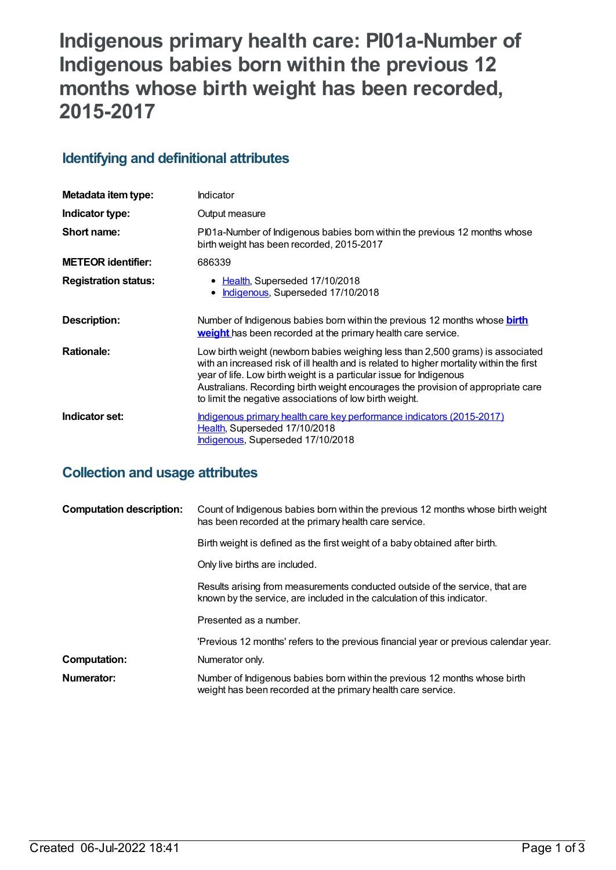# **Indigenous primary health care: PI01a-Number of Indigenous babies born within the previous 12 months whose birth weight has been recorded, 2015-2017**

## **Identifying and definitional attributes**

| Metadata item type:         | <b>Indicator</b>                                                                                                                                                                                                                                                                                                                                                                                 |
|-----------------------------|--------------------------------------------------------------------------------------------------------------------------------------------------------------------------------------------------------------------------------------------------------------------------------------------------------------------------------------------------------------------------------------------------|
| Indicator type:             | Output measure                                                                                                                                                                                                                                                                                                                                                                                   |
| Short name:                 | PI01a-Number of Indigenous babies born within the previous 12 months whose<br>birth weight has been recorded, 2015-2017                                                                                                                                                                                                                                                                          |
| <b>METEOR identifier:</b>   | 686339                                                                                                                                                                                                                                                                                                                                                                                           |
| <b>Registration status:</b> | • Health, Superseded 17/10/2018<br>Indigenous, Superseded 17/10/2018<br>$\bullet$                                                                                                                                                                                                                                                                                                                |
| Description:                | Number of Indigenous babies born within the previous 12 months whose <b>birth</b><br>weight has been recorded at the primary health care service.                                                                                                                                                                                                                                                |
| <b>Rationale:</b>           | Low birth weight (newborn babies weighing less than 2,500 grams) is associated<br>with an increased risk of ill health and is related to higher mortality within the first<br>year of life. Low birth weight is a particular issue for Indigenous<br>Australians. Recording birth weight encourages the provision of appropriate care<br>to limit the negative associations of low birth weight. |
| Indicator set:              | Indigenous primary health care key performance indicators (2015-2017)<br>Health, Superseded 17/10/2018<br>Indigenous, Superseded 17/10/2018                                                                                                                                                                                                                                                      |

## **Collection and usage attributes**

| <b>Computation description:</b> | Count of Indigenous babies born within the previous 12 months whose birth weight<br>has been recorded at the primary health care service.                |
|---------------------------------|----------------------------------------------------------------------------------------------------------------------------------------------------------|
|                                 | Birth weight is defined as the first weight of a baby obtained after birth.                                                                              |
|                                 | Only live births are included.                                                                                                                           |
|                                 | Results arising from measurements conducted outside of the service, that are<br>known by the service, are included in the calculation of this indicator. |
|                                 | Presented as a number.                                                                                                                                   |
|                                 | 'Previous 12 months' refers to the previous financial year or previous calendar year.                                                                    |
| Computation:                    | Numerator only.                                                                                                                                          |
| Numerator:                      | Number of Indigenous babies born within the previous 12 months whose birth<br>weight has been recorded at the primary health care service.               |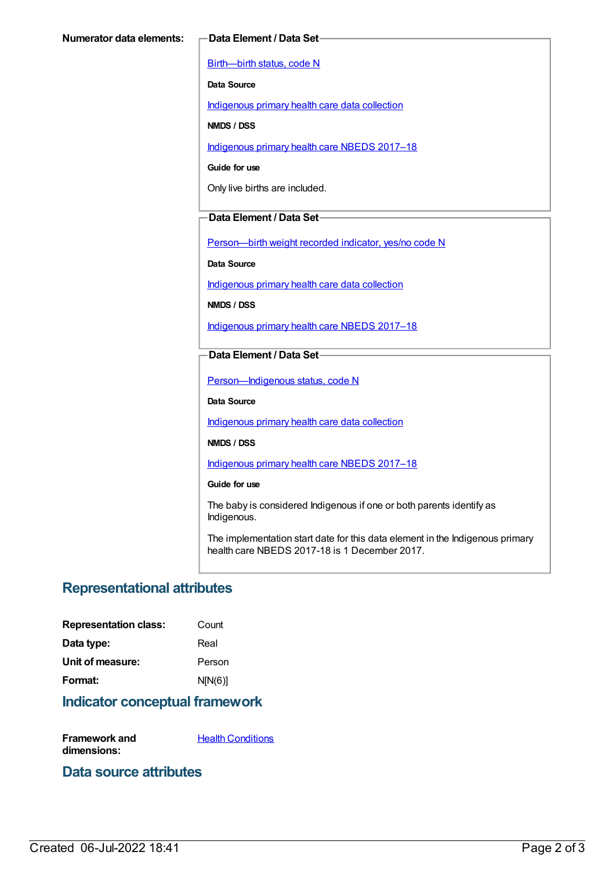[Birth—birth](https://meteor.aihw.gov.au/content/269949) status, code N

**Data Source**

[Indigenous](https://meteor.aihw.gov.au/content/430643) primary health care data collection

**NMDS / DSS**

[Indigenous](https://meteor.aihw.gov.au/content/686603) primary health care NBEDS 2017–18

**Guide for use**

Only live births are included.

### **Data Element / Data Set**

[Person—birth](https://meteor.aihw.gov.au/content/441701) weight recorded indicator, yes/no code N

**Data Source**

[Indigenous](https://meteor.aihw.gov.au/content/430643) primary health care data collection

**NMDS / DSS**

[Indigenous](https://meteor.aihw.gov.au/content/686603) primary health care NBEDS 2017–18

#### **Data Element / Data Set**

[Person—Indigenous](https://meteor.aihw.gov.au/content/602543) status, code N

**Data Source**

[Indigenous](https://meteor.aihw.gov.au/content/430643) primary health care data collection

**NMDS / DSS**

[Indigenous](https://meteor.aihw.gov.au/content/686603) primary health care NBEDS 2017–18

#### **Guide for use**

The baby is considered Indigenous if one or both parents identify as Indigenous.

The implementation start date for this data element in the Indigenous primary health care NBEDS 2017-18 is 1 December 2017.

## **Representational attributes**

| Count   |
|---------|
| Real    |
| Person  |
| N[N(6)] |
|         |

## **Indicator conceptual framework**

**Framework and dimensions: Health [Conditions](https://meteor.aihw.gov.au/content/410650)** 

## **Data source attributes**